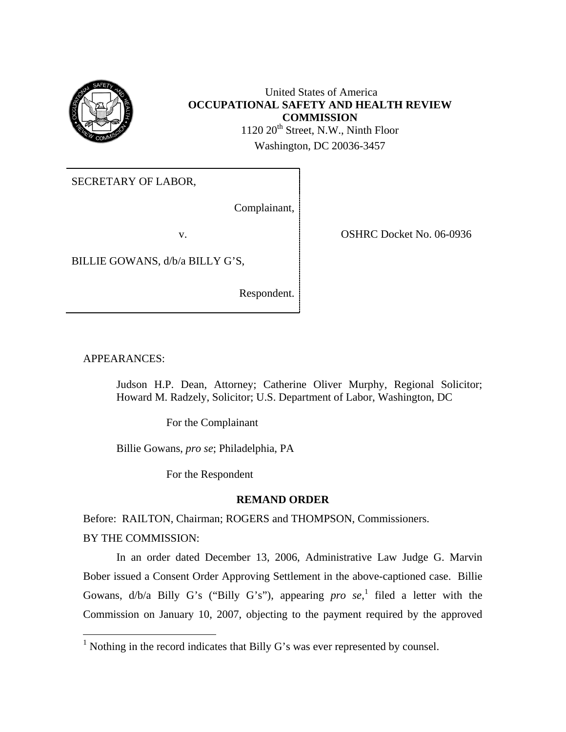

 United States of America **OCCUPATIONAL SAFETY AND HEALTH REVIEW COMMISSION**  1120 20<sup>th</sup> Street, N.W., Ninth Floor Washington, DC 20036-3457

SECRETARY OF LABOR,

Complainant,

v. COSHRC Docket No. 06-0936

BILLIE GOWANS, d/b/a BILLY G'S,

Respondent.

APPEARANCES:

Judson H.P. Dean, Attorney; Catherine Oliver Murphy, Regional Solicitor; Howard M. Radzely, Solicitor; U.S. Department of Labor, Washington, DC

For the Complainant

Billie Gowans, *pro se*; Philadelphia, PA

For the Respondent

### **REMAND ORDER**

Before: RAILTON, Chairman; ROGERS and THOMPSON, Commissioners.

BY THE COMMISSION:

1

 In an order dated December 13, 2006, Administrative Law Judge G. Marvin Bober issued a Consent Order Approving Settlement in the above-captioned case. Billie Gowans, d/b/a Billy G's ("Billy G's"), appearing *pro se*, 1 filed a letter with the Commission on January 10, 2007, objecting to the payment required by the approved

<span id="page-0-0"></span><sup>&</sup>lt;sup>1</sup> Nothing in the record indicates that Billy G's was ever represented by counsel.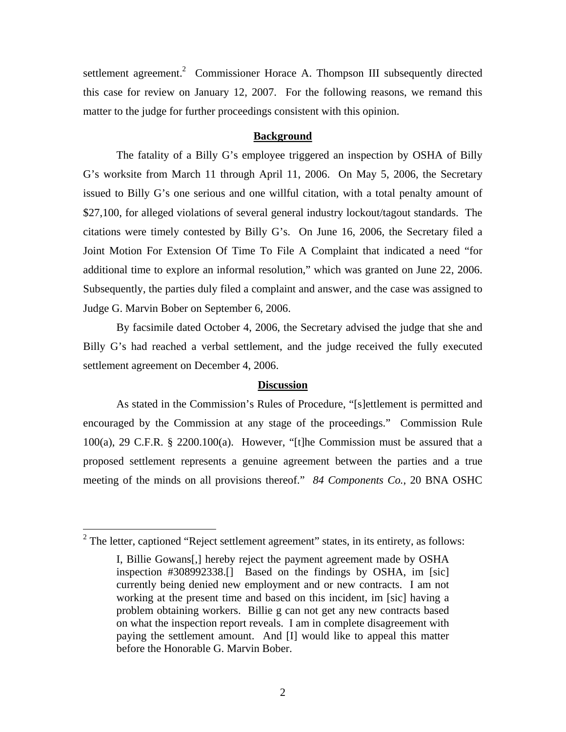settlement agreement.<sup>2</sup> Commissioner Horace A. Thompson III subsequently directed this case for review on January 12, 2007. For the following reasons, we remand this matter to the judge for further proceedings consistent with this opinion.

#### **Background**

 The fatality of a Billy G's employee triggered an inspection by OSHA of Billy G's worksite from March 11 through April 11, 2006. On May 5, 2006, the Secretary issued to Billy G's one serious and one willful citation, with a total penalty amount of \$27,100, for alleged violations of several general industry lockout/tagout standards. The citations were timely contested by Billy G's. On June 16, 2006, the Secretary filed a Joint Motion For Extension Of Time To File A Complaint that indicated a need "for additional time to explore an informal resolution," which was granted on June 22, 2006. Subsequently, the parties duly filed a complaint and answer, and the case was assigned to Judge G. Marvin Bober on September 6, 2006.

 By facsimile dated October 4, 2006, the Secretary advised the judge that she and Billy G's had reached a verbal settlement, and the judge received the fully executed settlement agreement on December 4, 2006.

#### **Discussion**

As stated in the Commission's Rules of Procedure, "[s]ettlement is permitted and encouraged by the Commission at any stage of the proceedings." Commission Rule 100(a), 29 C.F.R. § 2200.100(a). However, "[t]he Commission must be assured that a proposed settlement represents a genuine agreement between the parties and a true meeting of the minds on all provisions thereof." *84 Components Co.*, 20 BNA OSHC

 $\overline{a}$ 

<span id="page-1-0"></span><sup>&</sup>lt;sup>2</sup> The letter, captioned "Reject settlement agreement" states, in its entirety, as follows:

I, Billie Gowans[,] hereby reject the payment agreement made by OSHA inspection #308992338.[] Based on the findings by OSHA, im [sic] currently being denied new employment and or new contracts. I am not working at the present time and based on this incident, im [sic] having a problem obtaining workers. Billie g can not get any new contracts based on what the inspection report reveals. I am in complete disagreement with paying the settlement amount. And [I] would like to appeal this matter before the Honorable G. Marvin Bober.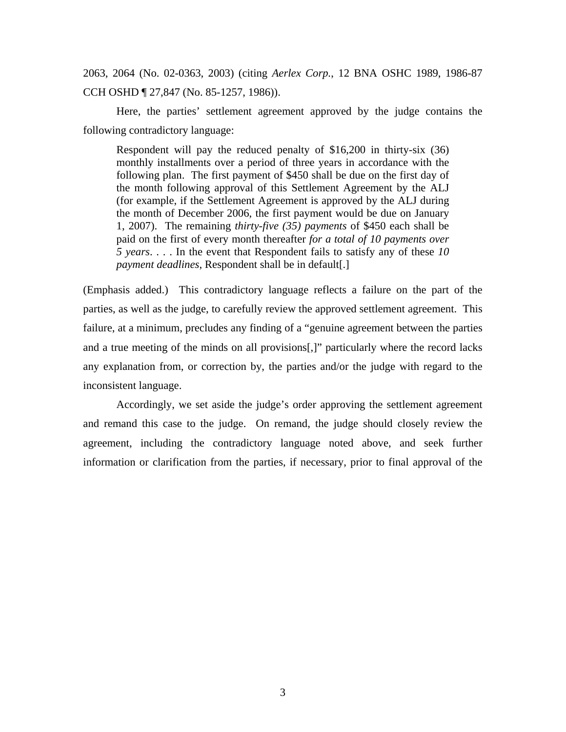2063, 2064 (No. 02-0363, 2003) (citing *Aerlex Corp.*, 12 BNA OSHC 1989, 1986-87 CCH OSHD ¶ 27,847 (No. 85-1257, 1986)).

Here, the parties' settlement agreement approved by the judge contains the following contradictory language:

Respondent will pay the reduced penalty of \$16,200 in thirty-six (36) monthly installments over a period of three years in accordance with the following plan. The first payment of \$450 shall be due on the first day of the month following approval of this Settlement Agreement by the ALJ (for example, if the Settlement Agreement is approved by the ALJ during the month of December 2006, the first payment would be due on January 1, 2007). The remaining *thirty-five (35) payments* of \$450 each shall be paid on the first of every month thereafter *for a total of 10 payments over 5 years*. . . . In the event that Respondent fails to satisfy any of these *10 payment deadlines*, Respondent shall be in default[.]

(Emphasis added.) This contradictory language reflects a failure on the part of the parties, as well as the judge, to carefully review the approved settlement agreement. This failure, at a minimum, precludes any finding of a "genuine agreement between the parties and a true meeting of the minds on all provisions[,]" particularly where the record lacks any explanation from, or correction by, the parties and/or the judge with regard to the inconsistent language.

 Accordingly, we set aside the judge's order approving the settlement agreement and remand this case to the judge. On remand, the judge should closely review the agreement, including the contradictory language noted above, and seek further information or clarification from the parties, if necessary, prior to final approval of the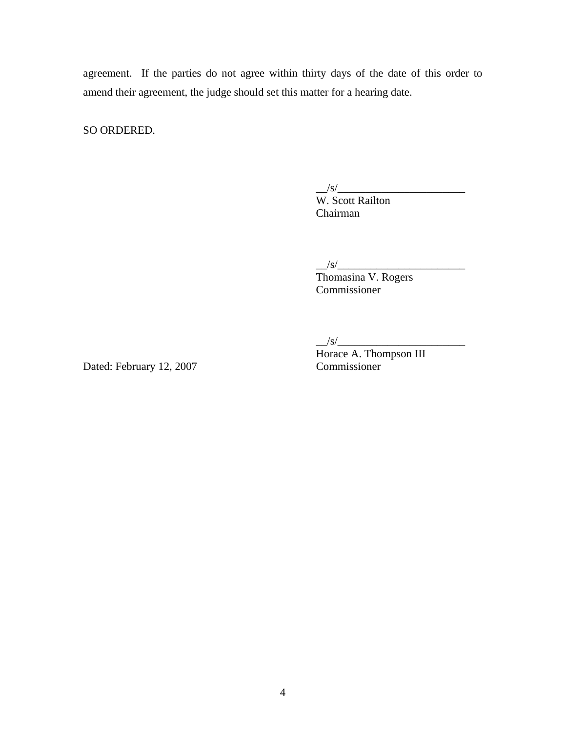agreement. If the parties do not agree within thirty days of the date of this order to amend their agreement, the judge should set this matter for a hearing date.

SO ORDERED.

 $\frac{1}{s}$  /s/ $\frac{1}{s}$ 

W. Scott Railton Chairman

 $\frac{1}{s}$  /s/ $\frac{1}{s}$ 

Thomasina V. Rogers Commissioner

 $\frac{|s|}{\sqrt{2\pi}}$ 

Dated: February 12, 2007 Commissioner

Horace A. Thompson III